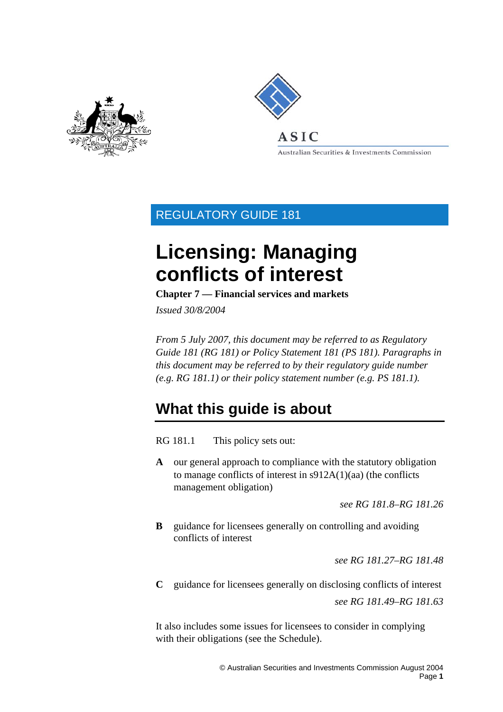<span id="page-0-0"></span>



Australian Securities & Investments Commission

# REGULATORY GUIDE 181

# **Licensing: Managing conflicts of interest**

**Chapter 7 — Financial services and markets** 

*Issued 30/8/2004* 

*From 5 July 2007, this document may be referred to as Regulatory Guide 181 (RG 181) or Policy Statement 181 (PS 181). Paragraphs in this document may be referred to by their regulatory guide number (e.g. RG 181.1) or their policy statement number (e.g. PS 181.1).* 

# **What this guide is about**

RG 181.1 This policy sets out:

**A** our general approach to compliance with the statutory obligation to manage conflicts of interest in s912A(1)(aa) (the conflicts management obligation)

*see RG 181.8–RG 181.26* 

**B** guidance for licensees generally on controlling and avoiding conflicts of interest

*see RG 181.27–RG 181.48* 

**C** guidance for licensees generally on disclosing conflicts of interest *see RG 181.49–RG 181.63* 

It also includes some issues for licensees to consider in complying with their obligations (see the Schedule).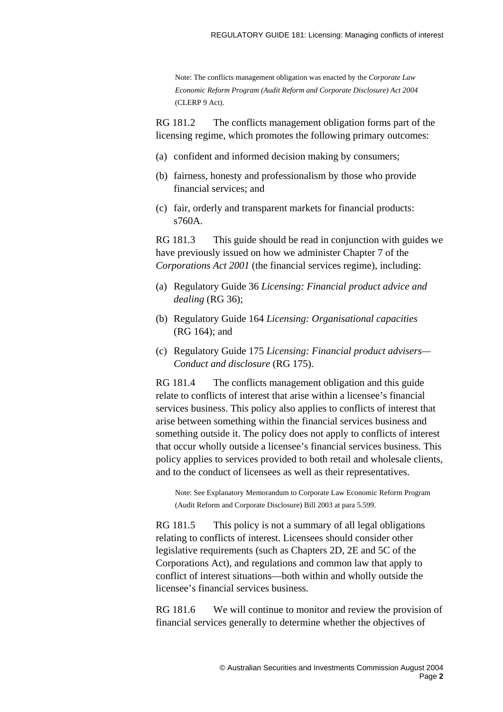Note: The conflicts management obligation was enacted by the *Corporate Law Economic Reform Program (Audit Reform and Corporate Disclosure) Act 2004* (CLERP 9 Act).

RG 181.2 The conflicts management obligation forms part of the licensing regime, which promotes the following primary outcomes:

- (a) confident and informed decision making by consumers;
- (b) fairness, honesty and professionalism by those who provide financial services; and
- (c) fair, orderly and transparent markets for financial products: s760A.

RG 181.3 This guide should be read in conjunction with guides we have previously issued on how we administer Chapter 7 of the *Corporations Act 2001* (the financial services regime), including:

- (a) Regulatory Guide 36 *Licensing: Financial product advice and dealing* (RG 36);
- (b) Regulatory Guide 164 *Licensing: Organisational capacities* (RG 164); and
- (c) Regulatory Guide 175 *Licensing: Financial product advisers— Conduct and disclosure* (RG 175).

RG 181.4 The conflicts management obligation and this guide relate to conflicts of interest that arise within a licensee's financial services business. This policy also applies to conflicts of interest that arise between something within the financial services business and something outside it. The policy does not apply to conflicts of interest that occur wholly outside a licensee's financial services business. This policy applies to services provided to both retail and wholesale clients, and to the conduct of licensees as well as their representatives.

Note: See Explanatory Memorandum to Corporate Law Economic Reform Program (Audit Reform and Corporate Disclosure) Bill 2003 at para 5.599.

RG 181.5 This policy is not a summary of all legal obligations relating to conflicts of interest. Licensees should consider other legislative requirements (such as Chapters 2D, 2E and 5C of the Corporations Act), and regulations and common law that apply to conflict of interest situations—both within and wholly outside the licensee's financial services business.

RG 181.6 We will continue to monitor and review the provision of financial services generally to determine whether the objectives of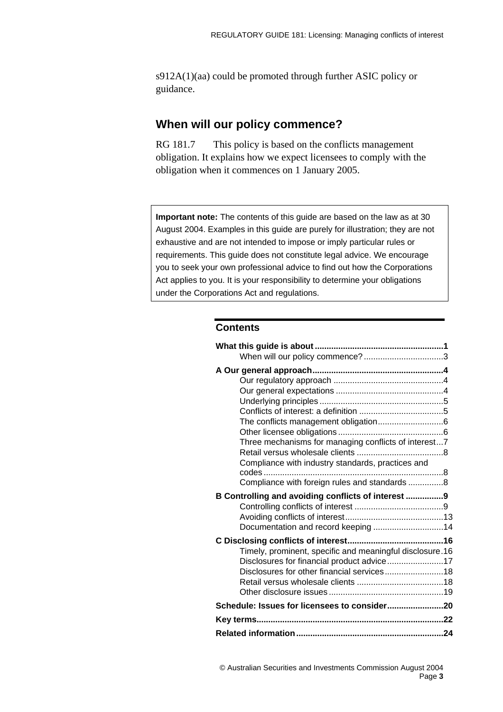<span id="page-2-0"></span>s912A(1)(aa) could be promoted through further ASIC policy or guidance.

## **When will our policy commence?**

RG 181.7 This policy is based on the conflicts management obligation. It explains how we expect licensees to comply with the obligation when it commences on 1 January 2005.

**Important note:** The contents of this guide are based on the law as at 30 August 2004. Examples in this guide are purely for illustration; they are not exhaustive and are not intended to impose or imply particular rules or requirements. This guide does not constitute legal advice. We encourage you to seek your own professional advice to find out how the Corporations Act applies to you. It is your responsibility to determine your obligations under the Corporations Act and regulations.

#### **Contents**

| Three mechanisms for managing conflicts of interest7     |  |
|----------------------------------------------------------|--|
|                                                          |  |
| Compliance with industry standards, practices and        |  |
|                                                          |  |
| Compliance with foreign rules and standards 8            |  |
|                                                          |  |
| B Controlling and avoiding conflicts of interest 9       |  |
|                                                          |  |
|                                                          |  |
| Documentation and record keeping 14                      |  |
|                                                          |  |
| Timely, prominent, specific and meaningful disclosure.16 |  |
| Disclosures for financial product advice17               |  |
| Disclosures for other financial services18               |  |
|                                                          |  |
|                                                          |  |
| Schedule: Issues for licensees to consider20             |  |
|                                                          |  |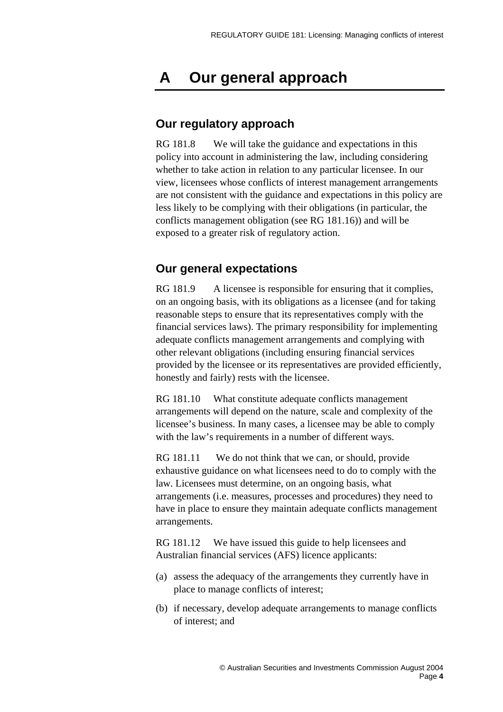# <span id="page-3-0"></span> **A Our general approach**

## **Our regulatory approach**

RG 181.8 We will take the guidance and expectations in this policy into account in administering the law, including considering whether to take action in relation to any particular licensee. In our view, licensees whose conflicts of interest management arrangements are not consistent with the guidance and expectations in this policy are less likely to be complying with their obligations (in particular, the conflicts management obligation (see RG 181.16)) and will be exposed to a greater risk of regulatory action.

## **Our general expectations**

RG 181.9 A licensee is responsible for ensuring that it complies, on an ongoing basis, with its obligations as a licensee (and for taking reasonable steps to ensure that its representatives comply with the financial services laws). The primary responsibility for implementing adequate conflicts management arrangements and complying with other relevant obligations (including ensuring financial services provided by the licensee or its representatives are provided efficiently, honestly and fairly) rests with the licensee.

RG 181.10 What constitute adequate conflicts management arrangements will depend on the nature, scale and complexity of the licensee's business. In many cases, a licensee may be able to comply with the law's requirements in a number of different ways.

RG 181.11 We do not think that we can, or should, provide exhaustive guidance on what licensees need to do to comply with the law. Licensees must determine, on an ongoing basis, what arrangements (i.e. measures, processes and procedures) they need to have in place to ensure they maintain adequate conflicts management arrangements.

RG 181.12 We have issued this guide to help licensees and Australian financial services (AFS) licence applicants:

- (a) assess the adequacy of the arrangements they currently have in place to manage conflicts of interest;
- (b) if necessary, develop adequate arrangements to manage conflicts of interest; and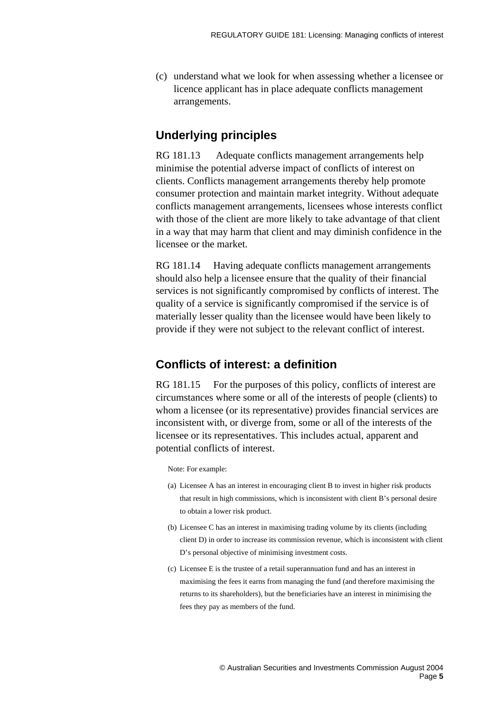<span id="page-4-0"></span>(c) understand what we look for when assessing whether a licensee or licence applicant has in place adequate conflicts management arrangements.

## **Underlying principles**

RG 181.13 Adequate conflicts management arrangements help minimise the potential adverse impact of conflicts of interest on clients. Conflicts management arrangements thereby help promote consumer protection and maintain market integrity. Without adequate conflicts management arrangements, licensees whose interests conflict with those of the client are more likely to take advantage of that client in a way that may harm that client and may diminish confidence in the licensee or the market.

RG 181.14 Having adequate conflicts management arrangements should also help a licensee ensure that the quality of their financial services is not significantly compromised by conflicts of interest. The quality of a service is significantly compromised if the service is of materially lesser quality than the licensee would have been likely to provide if they were not subject to the relevant conflict of interest.

## **Conflicts of interest: a definition**

RG 181.15 For the purposes of this policy, conflicts of interest are circumstances where some or all of the interests of people (clients) to whom a licensee (or its representative) provides financial services are inconsistent with, or diverge from, some or all of the interests of the licensee or its representatives. This includes actual, apparent and potential conflicts of interest.

Note: For example:

- (a) Licensee A has an interest in encouraging client B to invest in higher risk products that result in high commissions, which is inconsistent with client B's personal desire to obtain a lower risk product.
- (b) Licensee C has an interest in maximising trading volume by its clients (including client D) in order to increase its commission revenue, which is inconsistent with client D's personal objective of minimising investment costs.
- (c) Licensee E is the trustee of a retail superannuation fund and has an interest in maximising the fees it earns from managing the fund (and therefore maximising the returns to its shareholders), but the beneficiaries have an interest in minimising the fees they pay as members of the fund.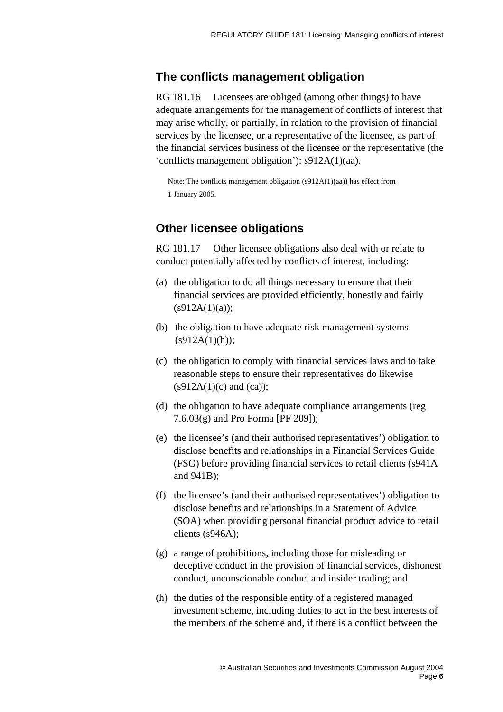#### <span id="page-5-0"></span>**The conflicts management obligation**

RG 181.16 Licensees are obliged (among other things) to have adequate arrangements for the management of conflicts of interest that may arise wholly, or partially, in relation to the provision of financial services by the licensee, or a representative of the licensee, as part of the financial services business of the licensee or the representative (the 'conflicts management obligation'): s912A(1)(aa).

Note: The conflicts management obligation (s912A(1)(aa)) has effect from 1 January 2005.

## **Other licensee obligations**

RG 181.17 Other licensee obligations also deal with or relate to conduct potentially affected by conflicts of interest, including:

- (a) the obligation to do all things necessary to ensure that their financial services are provided efficiently, honestly and fairly  $(s912A(1)(a))$ ;
- (b) the obligation to have adequate risk management systems  $(s912A(1)(h));$
- (c) the obligation to comply with financial services laws and to take reasonable steps to ensure their representatives do likewise  $(s912A(1)(c)$  and  $(ca)$ ;
- (d) the obligation to have adequate compliance arrangements (reg 7.6.03(g) and Pro Forma [PF 209]);
- (e) the licensee's (and their authorised representatives') obligation to disclose benefits and relationships in a Financial Services Guide (FSG) before providing financial services to retail clients (s941A and 941B);
- (f) the licensee's (and their authorised representatives') obligation to disclose benefits and relationships in a Statement of Advice (SOA) when providing personal financial product advice to retail clients (s946A);
- (g) a range of prohibitions, including those for misleading or deceptive conduct in the provision of financial services, dishonest conduct, unconscionable conduct and insider trading; and
- (h) the duties of the responsible entity of a registered managed investment scheme, including duties to act in the best interests of the members of the scheme and, if there is a conflict between the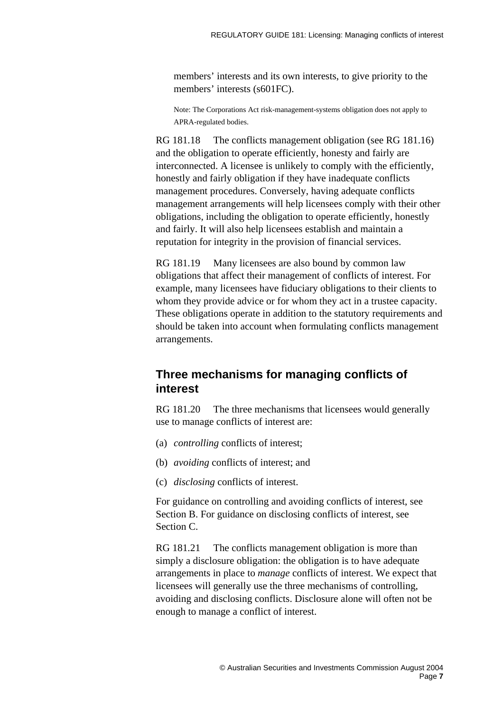<span id="page-6-0"></span>members' interests and its own interests, to give priority to the members' interests (s601FC).

Note: The Corporations Act risk-management-systems obligation does not apply to APRA-regulated bodies.

RG 181.18 The conflicts management obligation (see RG 181.16) and the obligation to operate efficiently, honesty and fairly are interconnected. A licensee is unlikely to comply with the efficiently, honestly and fairly obligation if they have inadequate conflicts management procedures. Conversely, having adequate conflicts management arrangements will help licensees comply with their other obligations, including the obligation to operate efficiently, honestly and fairly. It will also help licensees establish and maintain a reputation for integrity in the provision of financial services.

RG 181.19 Many licensees are also bound by common law obligations that affect their management of conflicts of interest. For example, many licensees have fiduciary obligations to their clients to whom they provide advice or for whom they act in a trustee capacity. These obligations operate in addition to the statutory requirements and should be taken into account when formulating conflicts management arrangements.

## **Three mechanisms for managing conflicts of interest**

RG 181.20 The three mechanisms that licensees would generally use to manage conflicts of interest are:

- (a) *controlling* conflicts of interest;
- (b) *avoiding* conflicts of interest; and
- (c) *disclosing* conflicts of interest.

For guidance on controlling and avoiding conflicts of interest, see Section B. For guidance on disclosing conflicts of interest, see Section C.

RG 181.21 The conflicts management obligation is more than simply a disclosure obligation: the obligation is to have adequate arrangements in place to *manage* conflicts of interest. We expect that licensees will generally use the three mechanisms of controlling, avoiding and disclosing conflicts. Disclosure alone will often not be enough to manage a conflict of interest.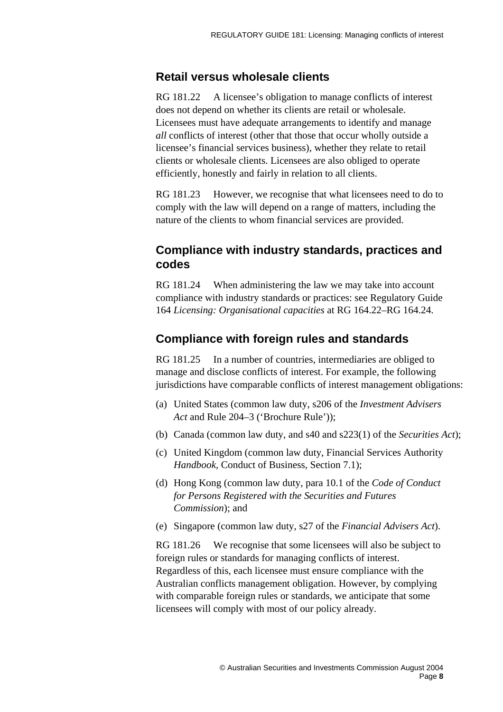#### <span id="page-7-0"></span>**Retail versus wholesale clients**

RG 181.22 A licensee's obligation to manage conflicts of interest does not depend on whether its clients are retail or wholesale. Licensees must have adequate arrangements to identify and manage *all* conflicts of interest (other that those that occur wholly outside a licensee's financial services business), whether they relate to retail clients or wholesale clients. Licensees are also obliged to operate efficiently, honestly and fairly in relation to all clients.

RG 181.23 However, we recognise that what licensees need to do to comply with the law will depend on a range of matters, including the nature of the clients to whom financial services are provided.

## **Compliance with industry standards, practices and codes**

RG 181.24 When administering the law we may take into account compliance with industry standards or practices: see Regulatory Guide 164 *Licensing: Organisational capacities* at RG 164.22–RG 164.24.

## **Compliance with foreign rules and standards**

RG 181.25 In a number of countries, intermediaries are obliged to manage and disclose conflicts of interest. For example, the following jurisdictions have comparable conflicts of interest management obligations:

- (a) United States (common law duty, s206 of the *Investment Advisers Act* and Rule 204–3 ('Brochure Rule'));
- (b) Canada (common law duty, and s40 and s223(1) of the *Securities Act*);
- (c) United Kingdom (common law duty, Financial Services Authority *Handbook,* Conduct of Business, Section 7.1);
- (d) Hong Kong (common law duty, para 10.1 of the *Code of Conduct for Persons Registered with the Securities and Futures Commission*); and
- (e) Singapore (common law duty, s27 of the *Financial Advisers Act*).

RG 181.26 We recognise that some licensees will also be subject to foreign rules or standards for managing conflicts of interest. Regardless of this, each licensee must ensure compliance with the Australian conflicts management obligation. However, by complying with comparable foreign rules or standards, we anticipate that some licensees will comply with most of our policy already.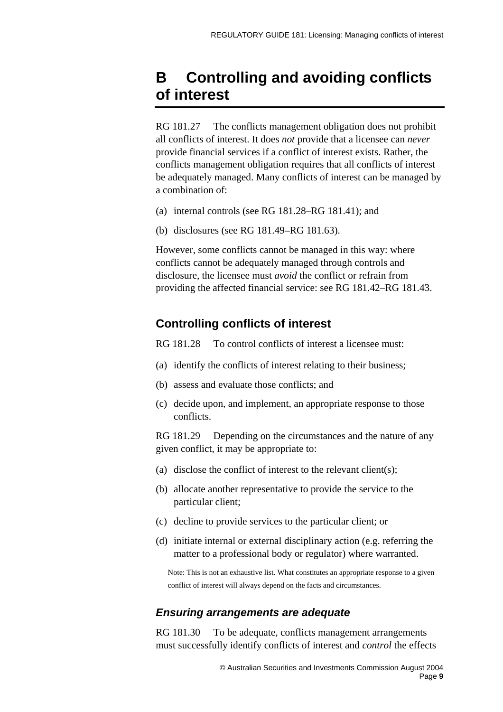## <span id="page-8-0"></span>**B Controlling and avoiding conflicts of interest**

RG 181.27 The conflicts management obligation does not prohibit all conflicts of interest. It does *not* provide that a licensee can *never*  provide financial services if a conflict of interest exists. Rather, the conflicts management obligation requires that all conflicts of interest be adequately managed. Many conflicts of interest can be managed by a combination of:

- (a) internal controls (see RG 181.28–RG 181.41); and
- (b) disclosures (see RG 181.49–RG 181.63).

However, some conflicts cannot be managed in this way: where conflicts cannot be adequately managed through controls and disclosure, the licensee must *avoid* the conflict or refrain from providing the affected financial service: see RG 181.42–RG 181.43.

## **Controlling conflicts of interest**

RG 181.28 To control conflicts of interest a licensee must:

- (a) identify the conflicts of interest relating to their business;
- (b) assess and evaluate those conflicts; and
- (c) decide upon, and implement, an appropriate response to those conflicts.

RG 181.29 Depending on the circumstances and the nature of any given conflict, it may be appropriate to:

- (a) disclose the conflict of interest to the relevant client(s);
- (b) allocate another representative to provide the service to the particular client;
- (c) decline to provide services to the particular client; or
- (d) initiate internal or external disciplinary action (e.g. referring the matter to a professional body or regulator) where warranted.

Note: This is not an exhaustive list. What constitutes an appropriate response to a given conflict of interest will always depend on the facts and circumstances.

#### *Ensuring arrangements are adequate*

RG 181.30 To be adequate, conflicts management arrangements must successfully identify conflicts of interest and *control* the effects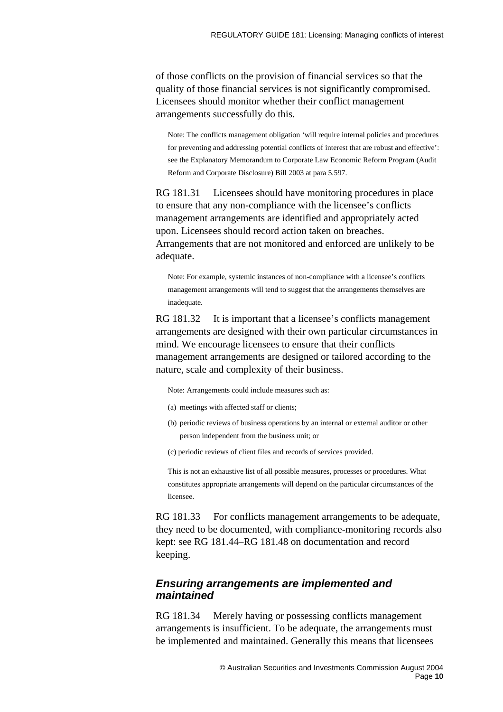of those conflicts on the provision of financial services so that the quality of those financial services is not significantly compromised. Licensees should monitor whether their conflict management arrangements successfully do this.

Note: The conflicts management obligation 'will require internal policies and procedures for preventing and addressing potential conflicts of interest that are robust and effective': see the Explanatory Memorandum to Corporate Law Economic Reform Program (Audit Reform and Corporate Disclosure) Bill 2003 at para 5.597.

RG 181.31 Licensees should have monitoring procedures in place to ensure that any non-compliance with the licensee's conflicts management arrangements are identified and appropriately acted upon. Licensees should record action taken on breaches. Arrangements that are not monitored and enforced are unlikely to be adequate.

Note: For example, systemic instances of non-compliance with a licensee's conflicts management arrangements will tend to suggest that the arrangements themselves are inadequate.

RG 181.32 It is important that a licensee's conflicts management arrangements are designed with their own particular circumstances in mind. We encourage licensees to ensure that their conflicts management arrangements are designed or tailored according to the nature, scale and complexity of their business.

Note: Arrangements could include measures such as:

- (a) meetings with affected staff or clients;
- (b) periodic reviews of business operations by an internal or external auditor or other person independent from the business unit; or
- (c) periodic reviews of client files and records of services provided.

This is not an exhaustive list of all possible measures, processes or procedures. What constitutes appropriate arrangements will depend on the particular circumstances of the licensee.

RG 181.33 For conflicts management arrangements to be adequate, they need to be documented, with compliance-monitoring records also kept: see RG 181.44–RG 181.48 on documentation and record keeping.

#### *Ensuring arrangements are implemented and maintained*

RG 181.34 Merely having or possessing conflicts management arrangements is insufficient. To be adequate, the arrangements must be implemented and maintained. Generally this means that licensees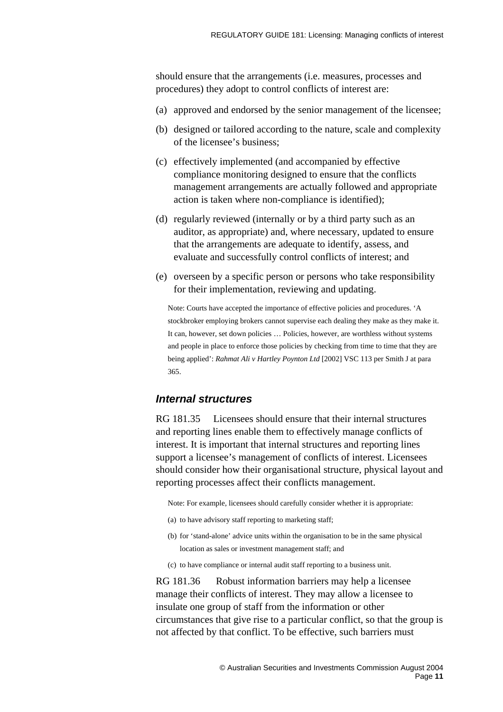should ensure that the arrangements (i.e. measures, processes and procedures) they adopt to control conflicts of interest are:

- (a) approved and endorsed by the senior management of the licensee;
- (b) designed or tailored according to the nature, scale and complexity of the licensee's business;
- (c) effectively implemented (and accompanied by effective compliance monitoring designed to ensure that the conflicts management arrangements are actually followed and appropriate action is taken where non-compliance is identified);
- (d) regularly reviewed (internally or by a third party such as an auditor, as appropriate) and, where necessary, updated to ensure that the arrangements are adequate to identify, assess, and evaluate and successfully control conflicts of interest; and
- (e) overseen by a specific person or persons who take responsibility for their implementation, reviewing and updating.

Note: Courts have accepted the importance of effective policies and procedures. 'A stockbroker employing brokers cannot supervise each dealing they make as they make it. It can, however, set down policies … Policies, however, are worthless without systems and people in place to enforce those policies by checking from time to time that they are being applied': *Rahmat Ali v Hartley Poynton Ltd* [2002] VSC 113 per Smith J at para 365.

#### *Internal structures*

RG 181.35 Licensees should ensure that their internal structures and reporting lines enable them to effectively manage conflicts of interest. It is important that internal structures and reporting lines support a licensee's management of conflicts of interest. Licensees should consider how their organisational structure, physical layout and reporting processes affect their conflicts management.

Note: For example, licensees should carefully consider whether it is appropriate:

- (a) to have advisory staff reporting to marketing staff;
- (b) for 'stand-alone' advice units within the organisation to be in the same physical location as sales or investment management staff; and
- (c) to have compliance or internal audit staff reporting to a business unit.

RG 181.36 Robust information barriers may help a licensee manage their conflicts of interest. They may allow a licensee to insulate one group of staff from the information or other circumstances that give rise to a particular conflict, so that the group is not affected by that conflict. To be effective, such barriers must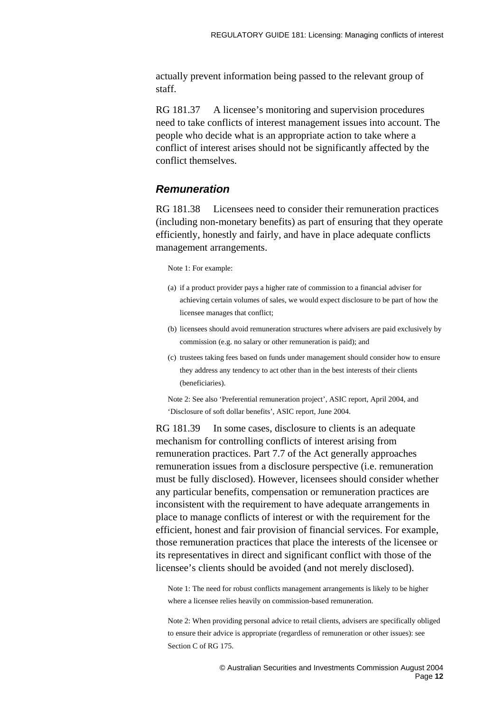actually prevent information being passed to the relevant group of staff.

RG 181.37 A licensee's monitoring and supervision procedures need to take conflicts of interest management issues into account. The people who decide what is an appropriate action to take where a conflict of interest arises should not be significantly affected by the conflict themselves.

#### *Remuneration*

RG 181.38 Licensees need to consider their remuneration practices (including non-monetary benefits) as part of ensuring that they operate efficiently, honestly and fairly, and have in place adequate conflicts management arrangements.

Note 1: For example:

- (a) if a product provider pays a higher rate of commission to a financial adviser for achieving certain volumes of sales, we would expect disclosure to be part of how the licensee manages that conflict;
- (b) licensees should avoid remuneration structures where advisers are paid exclusively by commission (e.g. no salary or other remuneration is paid); and
- (c) trustees taking fees based on funds under management should consider how to ensure they address any tendency to act other than in the best interests of their clients (beneficiaries).

Note 2: See also 'Preferential remuneration project', ASIC report, April 2004, and 'Disclosure of soft dollar benefits', ASIC report, June 2004.

RG 181.39 In some cases, disclosure to clients is an adequate mechanism for controlling conflicts of interest arising from remuneration practices. Part 7.7 of the Act generally approaches remuneration issues from a disclosure perspective (i.e. remuneration must be fully disclosed). However, licensees should consider whether any particular benefits, compensation or remuneration practices are inconsistent with the requirement to have adequate arrangements in place to manage conflicts of interest or with the requirement for the efficient, honest and fair provision of financial services. For example, those remuneration practices that place the interests of the licensee or its representatives in direct and significant conflict with those of the licensee's clients should be avoided (and not merely disclosed).

Note 1: The need for robust conflicts management arrangements is likely to be higher where a licensee relies heavily on commission-based remuneration.

Note 2: When providing personal advice to retail clients, advisers are specifically obliged to ensure their advice is appropriate (regardless of remuneration or other issues): see Section C of RG 175.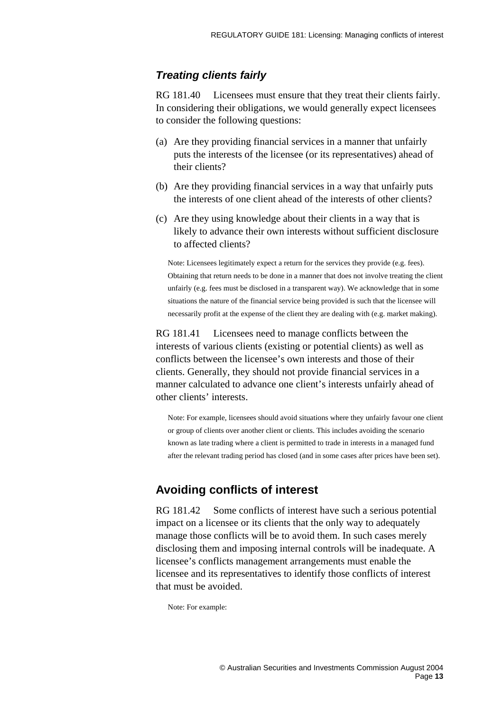## <span id="page-12-0"></span>*Treating clients fairly*

RG 181.40 Licensees must ensure that they treat their clients fairly. In considering their obligations, we would generally expect licensees to consider the following questions:

- (a) Are they providing financial services in a manner that unfairly puts the interests of the licensee (or its representatives) ahead of their clients?
- (b) Are they providing financial services in a way that unfairly puts the interests of one client ahead of the interests of other clients?
- (c) Are they using knowledge about their clients in a way that is likely to advance their own interests without sufficient disclosure to affected clients?

Note: Licensees legitimately expect a return for the services they provide (e.g. fees). Obtaining that return needs to be done in a manner that does not involve treating the client unfairly (e.g. fees must be disclosed in a transparent way). We acknowledge that in some situations the nature of the financial service being provided is such that the licensee will necessarily profit at the expense of the client they are dealing with (e.g. market making).

RG 181.41 Licensees need to manage conflicts between the interests of various clients (existing or potential clients) as well as conflicts between the licensee's own interests and those of their clients. Generally, they should not provide financial services in a manner calculated to advance one client's interests unfairly ahead of other clients' interests.

Note: For example, licensees should avoid situations where they unfairly favour one client or group of clients over another client or clients. This includes avoiding the scenario known as late trading where a client is permitted to trade in interests in a managed fund after the relevant trading period has closed (and in some cases after prices have been set).

## **Avoiding conflicts of interest**

RG 181.42 Some conflicts of interest have such a serious potential impact on a licensee or its clients that the only way to adequately manage those conflicts will be to avoid them. In such cases merely disclosing them and imposing internal controls will be inadequate. A licensee's conflicts management arrangements must enable the licensee and its representatives to identify those conflicts of interest that must be avoided.

Note: For example: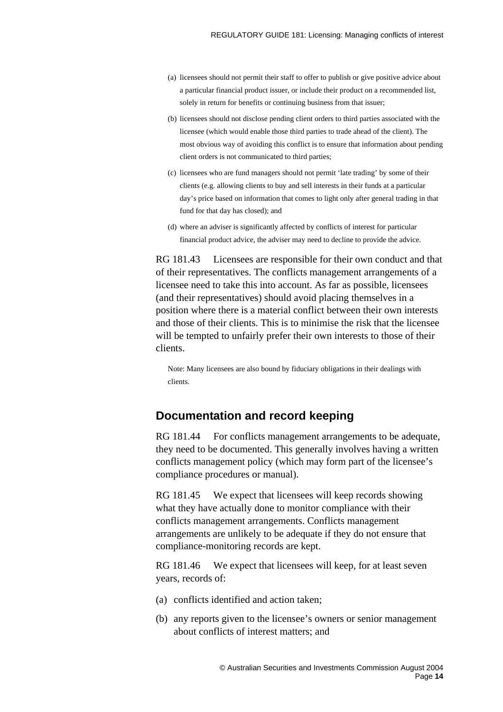- <span id="page-13-0"></span>(a) licensees should not permit their staff to offer to publish or give positive advice about a particular financial product issuer, or include their product on a recommended list, solely in return for benefits or continuing business from that issuer;
- (b) licensees should not disclose pending client orders to third parties associated with the licensee (which would enable those third parties to trade ahead of the client). The most obvious way of avoiding this conflict is to ensure that information about pending client orders is not communicated to third parties;
- (c) licensees who are fund managers should not permit 'late trading' by some of their clients (e.g. allowing clients to buy and sell interests in their funds at a particular day's price based on information that comes to light only after general trading in that fund for that day has closed); and
- (d) where an adviser is significantly affected by conflicts of interest for particular financial product advice, the adviser may need to decline to provide the advice.

RG 181.43 Licensees are responsible for their own conduct and that of their representatives. The conflicts management arrangements of a licensee need to take this into account. As far as possible, licensees (and their representatives) should avoid placing themselves in a position where there is a material conflict between their own interests and those of their clients. This is to minimise the risk that the licensee will be tempted to unfairly prefer their own interests to those of their clients.

Note: Many licensees are also bound by fiduciary obligations in their dealings with clients.

## **Documentation and record keeping**

RG 181.44 For conflicts management arrangements to be adequate. they need to be documented. This generally involves having a written conflicts management policy (which may form part of the licensee's compliance procedures or manual).

RG 181.45 We expect that licensees will keep records showing what they have actually done to monitor compliance with their conflicts management arrangements. Conflicts management arrangements are unlikely to be adequate if they do not ensure that compliance-monitoring records are kept.

RG 181.46 We expect that licensees will keep, for at least seven years, records of:

- (a) conflicts identified and action taken;
- (b) any reports given to the licensee's owners or senior management about conflicts of interest matters; and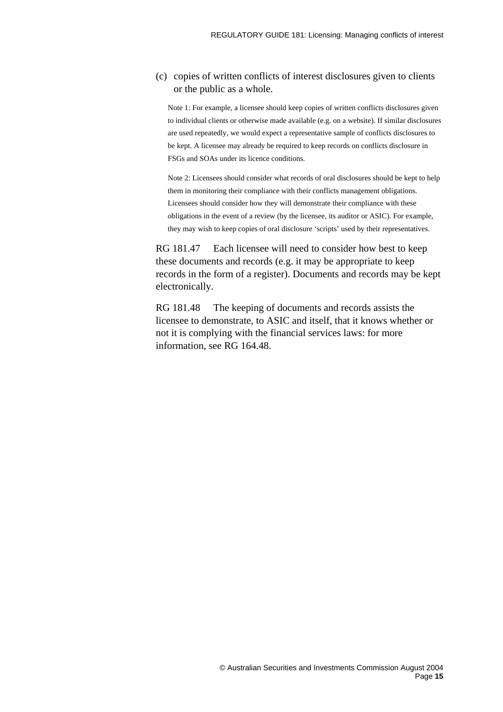#### (c) copies of written conflicts of interest disclosures given to clients or the public as a whole.

Note 1: For example, a licensee should keep copies of written conflicts disclosures given to individual clients or otherwise made available (e.g. on a website). If similar disclosures are used repeatedly, we would expect a representative sample of conflicts disclosures to be kept. A licensee may already be required to keep records on conflicts disclosure in FSGs and SOAs under its licence conditions.

Note 2: Licensees should consider what records of oral disclosures should be kept to help them in monitoring their compliance with their conflicts management obligations. Licensees should consider how they will demonstrate their compliance with these obligations in the event of a review (by the licensee, its auditor or ASIC). For example, they may wish to keep copies of oral disclosure 'scripts' used by their representatives.

RG 181.47 Each licensee will need to consider how best to keep these documents and records (e.g. it may be appropriate to keep records in the form of a register). Documents and records may be kept electronically.

RG 181.48 The keeping of documents and records assists the licensee to demonstrate, to ASIC and itself, that it knows whether or not it is complying with the financial services laws: for more information, see RG 164.48.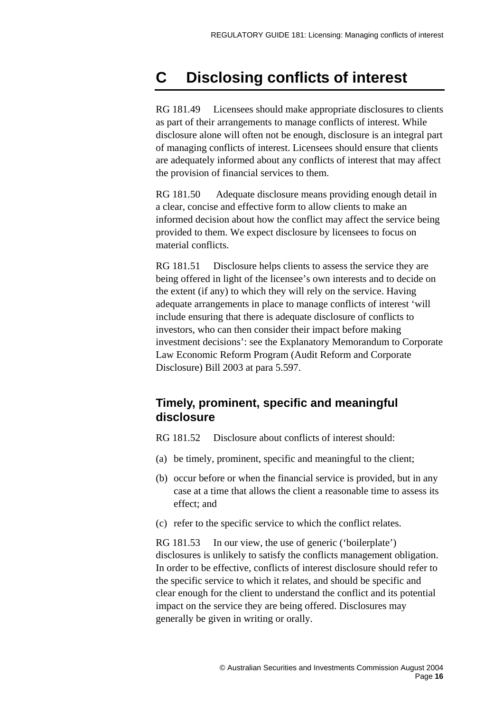# <span id="page-15-0"></span>**C Disclosing conflicts of interest**

RG 181.49 Licensees should make appropriate disclosures to clients as part of their arrangements to manage conflicts of interest. While disclosure alone will often not be enough, disclosure is an integral part of managing conflicts of interest. Licensees should ensure that clients are adequately informed about any conflicts of interest that may affect the provision of financial services to them.

RG 181.50 Adequate disclosure means providing enough detail in a clear, concise and effective form to allow clients to make an informed decision about how the conflict may affect the service being provided to them. We expect disclosure by licensees to focus on material conflicts.

RG 181.51 Disclosure helps clients to assess the service they are being offered in light of the licensee's own interests and to decide on the extent (if any) to which they will rely on the service. Having adequate arrangements in place to manage conflicts of interest 'will include ensuring that there is adequate disclosure of conflicts to investors, who can then consider their impact before making investment decisions': see the Explanatory Memorandum to Corporate Law Economic Reform Program (Audit Reform and Corporate Disclosure) Bill 2003 at para 5.597.

## **Timely, prominent, specific and meaningful disclosure**

RG 181.52 Disclosure about conflicts of interest should:

- (a) be timely, prominent, specific and meaningful to the client;
- (b) occur before or when the financial service is provided, but in any case at a time that allows the client a reasonable time to assess its effect; and
- (c) refer to the specific service to which the conflict relates.

RG 181.53 In our view, the use of generic ('boilerplate') disclosures is unlikely to satisfy the conflicts management obligation. In order to be effective, conflicts of interest disclosure should refer to the specific service to which it relates, and should be specific and clear enough for the client to understand the conflict and its potential impact on the service they are being offered. Disclosures may generally be given in writing or orally.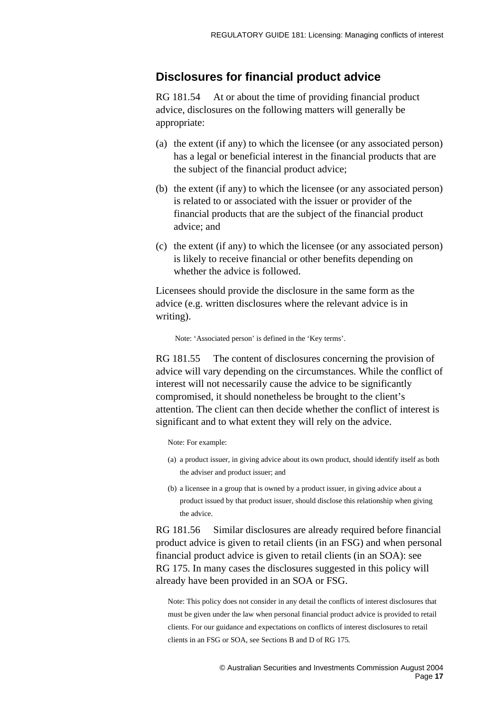#### <span id="page-16-0"></span>**Disclosures for financial product advice**

RG 181.54 At or about the time of providing financial product advice, disclosures on the following matters will generally be appropriate:

- (a) the extent (if any) to which the licensee (or any associated person) has a legal or beneficial interest in the financial products that are the subject of the financial product advice;
- (b) the extent (if any) to which the licensee (or any associated person) is related to or associated with the issuer or provider of the financial products that are the subject of the financial product advice; and
- (c) the extent (if any) to which the licensee (or any associated person) is likely to receive financial or other benefits depending on whether the advice is followed.

Licensees should provide the disclosure in the same form as the advice (e.g. written disclosures where the relevant advice is in writing).

Note: 'Associated person' is defined in the 'Key terms'.

RG 181.55 The content of disclosures concerning the provision of advice will vary depending on the circumstances. While the conflict of interest will not necessarily cause the advice to be significantly compromised, it should nonetheless be brought to the client's attention. The client can then decide whether the conflict of interest is significant and to what extent they will rely on the advice.

Note: For example:

- (a) a product issuer, in giving advice about its own product, should identify itself as both the adviser and product issuer; and
- (b) a licensee in a group that is owned by a product issuer, in giving advice about a product issued by that product issuer, should disclose this relationship when giving the advice.

RG 181.56 Similar disclosures are already required before financial product advice is given to retail clients (in an FSG) and when personal financial product advice is given to retail clients (in an SOA): see RG 175. In many cases the disclosures suggested in this policy will already have been provided in an SOA or FSG.

Note: This policy does not consider in any detail the conflicts of interest disclosures that must be given under the law when personal financial product advice is provided to retail clients. For our guidance and expectations on conflicts of interest disclosures to retail clients in an FSG or SOA, see Sections B and D of RG 175*.*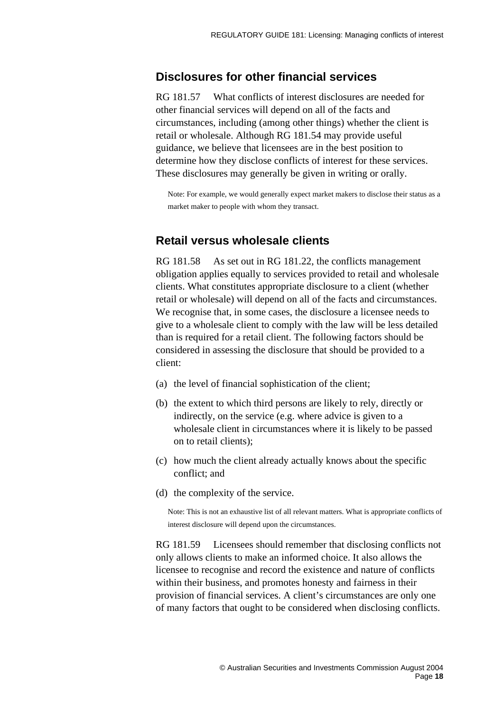#### <span id="page-17-0"></span>**Disclosures for other financial services**

RG 181.57 What conflicts of interest disclosures are needed for other financial services will depend on all of the facts and circumstances, including (among other things) whether the client is retail or wholesale. Although RG 181.54 may provide useful guidance, we believe that licensees are in the best position to determine how they disclose conflicts of interest for these services. These disclosures may generally be given in writing or orally.

Note: For example, we would generally expect market makers to disclose their status as a market maker to people with whom they transact.

#### **Retail versus wholesale clients**

RG 181.58 As set out in RG 181.22, the conflicts management obligation applies equally to services provided to retail and wholesale clients. What constitutes appropriate disclosure to a client (whether retail or wholesale) will depend on all of the facts and circumstances. We recognise that, in some cases, the disclosure a licensee needs to give to a wholesale client to comply with the law will be less detailed than is required for a retail client. The following factors should be considered in assessing the disclosure that should be provided to a client:

- (a) the level of financial sophistication of the client;
- (b) the extent to which third persons are likely to rely, directly or indirectly, on the service (e.g. where advice is given to a wholesale client in circumstances where it is likely to be passed on to retail clients);
- (c) how much the client already actually knows about the specific conflict; and
- (d) the complexity of the service.

Note: This is not an exhaustive list of all relevant matters. What is appropriate conflicts of interest disclosure will depend upon the circumstances.

RG 181.59 Licensees should remember that disclosing conflicts not only allows clients to make an informed choice. It also allows the licensee to recognise and record the existence and nature of conflicts within their business, and promotes honesty and fairness in their provision of financial services. A client's circumstances are only one of many factors that ought to be considered when disclosing conflicts.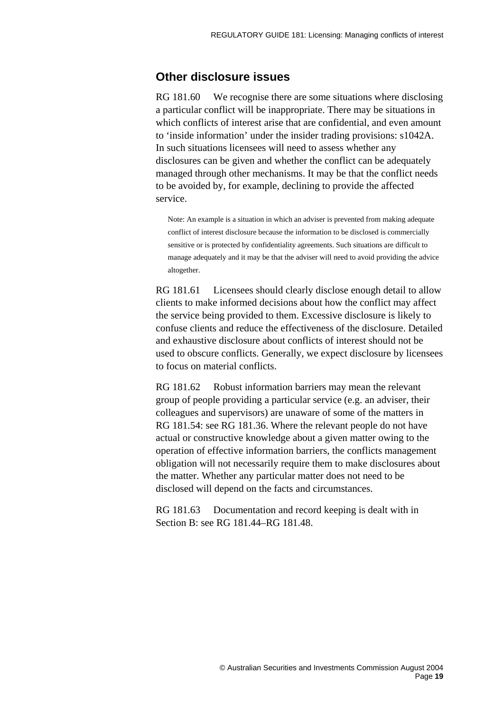## <span id="page-18-0"></span>**Other disclosure issues**

RG 181.60 We recognise there are some situations where disclosing a particular conflict will be inappropriate. There may be situations in which conflicts of interest arise that are confidential, and even amount to 'inside information' under the insider trading provisions: s1042A. In such situations licensees will need to assess whether any disclosures can be given and whether the conflict can be adequately managed through other mechanisms. It may be that the conflict needs to be avoided by, for example, declining to provide the affected service.

Note: An example is a situation in which an adviser is prevented from making adequate conflict of interest disclosure because the information to be disclosed is commercially sensitive or is protected by confidentiality agreements. Such situations are difficult to manage adequately and it may be that the adviser will need to avoid providing the advice altogether.

RG 181.61 Licensees should clearly disclose enough detail to allow clients to make informed decisions about how the conflict may affect the service being provided to them. Excessive disclosure is likely to confuse clients and reduce the effectiveness of the disclosure. Detailed and exhaustive disclosure about conflicts of interest should not be used to obscure conflicts. Generally, we expect disclosure by licensees to focus on material conflicts.

RG 181.62 Robust information barriers may mean the relevant group of people providing a particular service (e.g. an adviser, their colleagues and supervisors) are unaware of some of the matters in RG 181.54: see RG 181.36. Where the relevant people do not have actual or constructive knowledge about a given matter owing to the operation of effective information barriers, the conflicts management obligation will not necessarily require them to make disclosures about the matter. Whether any particular matter does not need to be disclosed will depend on the facts and circumstances.

RG 181.63 Documentation and record keeping is dealt with in Section B: see RG 181.44–RG 181.48.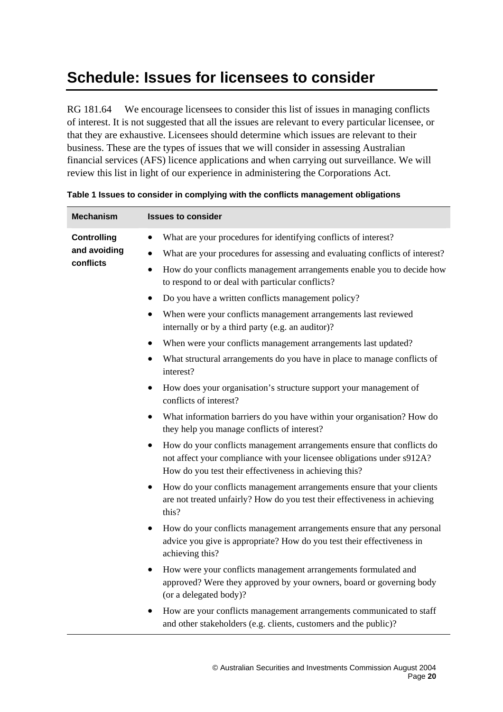# <span id="page-19-0"></span>**Schedule: Issues for licensees to consider**

RG 181.64 We encourage licensees to consider this list of issues in managing conflicts of interest. It is not suggested that all the issues are relevant to every particular licensee, or that they are exhaustive. Licensees should determine which issues are relevant to their business. These are the types of issues that we will consider in assessing Australian financial services (AFS) licence applications and when carrying out surveillance. We will review this list in light of our experience in administering the Corporations Act.

| <b>Mechanism</b>                                | <b>Issues to consider</b>                                                                                                                                                                                  |
|-------------------------------------------------|------------------------------------------------------------------------------------------------------------------------------------------------------------------------------------------------------------|
| <b>Controlling</b><br>and avoiding<br>conflicts | What are your procedures for identifying conflicts of interest?<br>$\bullet$                                                                                                                               |
|                                                 | What are your procedures for assessing and evaluating conflicts of interest?<br>$\bullet$                                                                                                                  |
|                                                 | How do your conflicts management arrangements enable you to decide how<br>$\bullet$<br>to respond to or deal with particular conflicts?                                                                    |
|                                                 | Do you have a written conflicts management policy?                                                                                                                                                         |
|                                                 | When were your conflicts management arrangements last reviewed<br>internally or by a third party (e.g. an auditor)?                                                                                        |
|                                                 | When were your conflicts management arrangements last updated?                                                                                                                                             |
|                                                 | What structural arrangements do you have in place to manage conflicts of<br>interest?                                                                                                                      |
|                                                 | How does your organisation's structure support your management of<br>conflicts of interest?                                                                                                                |
|                                                 | What information barriers do you have within your organisation? How do<br>they help you manage conflicts of interest?                                                                                      |
|                                                 | How do your conflicts management arrangements ensure that conflicts do<br>not affect your compliance with your licensee obligations under s912A?<br>How do you test their effectiveness in achieving this? |
|                                                 | How do your conflicts management arrangements ensure that your clients<br>$\bullet$<br>are not treated unfairly? How do you test their effectiveness in achieving<br>this?                                 |
|                                                 | How do your conflicts management arrangements ensure that any personal<br>advice you give is appropriate? How do you test their effectiveness in<br>achieving this?                                        |
|                                                 | How were your conflicts management arrangements formulated and<br>approved? Were they approved by your owners, board or governing body<br>(or a delegated body)?                                           |
|                                                 | How are your conflicts management arrangements communicated to staff<br>and other stakeholders (e.g. clients, customers and the public)?                                                                   |

#### **Table 1 Issues to consider in complying with the conflicts management obligations**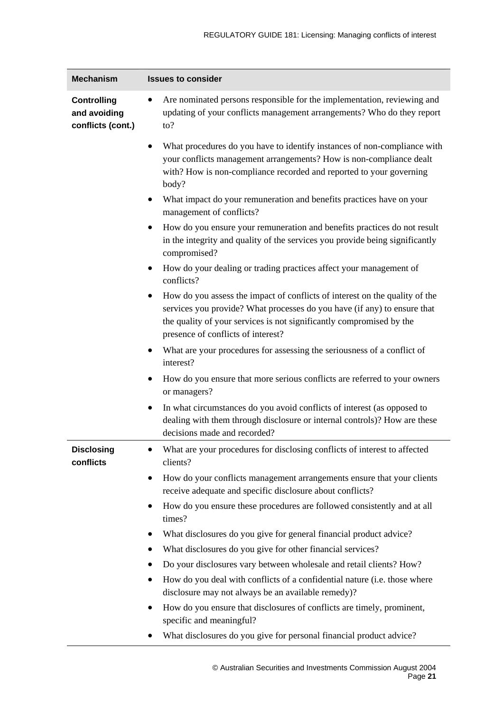| <b>Mechanism</b>                                        | <b>Issues to consider</b>                                                                                                                                                                                                                                                                               |
|---------------------------------------------------------|---------------------------------------------------------------------------------------------------------------------------------------------------------------------------------------------------------------------------------------------------------------------------------------------------------|
| <b>Controlling</b><br>and avoiding<br>conflicts (cont.) | Are nominated persons responsible for the implementation, reviewing and<br>updating of your conflicts management arrangements? Who do they report<br>$\mathfrak{to}?$                                                                                                                                   |
|                                                         | What procedures do you have to identify instances of non-compliance with<br>your conflicts management arrangements? How is non-compliance dealt<br>with? How is non-compliance recorded and reported to your governing<br>body?<br>What impact do your remuneration and benefits practices have on your |
|                                                         | management of conflicts?                                                                                                                                                                                                                                                                                |
|                                                         | How do you ensure your remuneration and benefits practices do not result<br>in the integrity and quality of the services you provide being significantly<br>compromised?                                                                                                                                |
|                                                         | How do your dealing or trading practices affect your management of<br>conflicts?                                                                                                                                                                                                                        |
|                                                         | How do you assess the impact of conflicts of interest on the quality of the<br>services you provide? What processes do you have (if any) to ensure that<br>the quality of your services is not significantly compromised by the<br>presence of conflicts of interest?                                   |
|                                                         | What are your procedures for assessing the seriousness of a conflict of<br>interest?                                                                                                                                                                                                                    |
|                                                         | How do you ensure that more serious conflicts are referred to your owners<br>or managers?                                                                                                                                                                                                               |
|                                                         | In what circumstances do you avoid conflicts of interest (as opposed to<br>dealing with them through disclosure or internal controls)? How are these<br>decisions made and recorded?                                                                                                                    |
| <b>Disclosing</b><br>conflicts                          | What are your procedures for disclosing conflicts of interest to affected<br>clients?                                                                                                                                                                                                                   |
|                                                         | How do your conflicts management arrangements ensure that your clients<br>٠<br>receive adequate and specific disclosure about conflicts?                                                                                                                                                                |
|                                                         | How do you ensure these procedures are followed consistently and at all<br>times?                                                                                                                                                                                                                       |
|                                                         | What disclosures do you give for general financial product advice?                                                                                                                                                                                                                                      |
|                                                         | What disclosures do you give for other financial services?                                                                                                                                                                                                                                              |
|                                                         | Do your disclosures vary between wholesale and retail clients? How?<br>٠                                                                                                                                                                                                                                |
|                                                         | How do you deal with conflicts of a confidential nature (i.e. those where<br>disclosure may not always be an available remedy)?                                                                                                                                                                         |
|                                                         | How do you ensure that disclosures of conflicts are timely, prominent,<br>specific and meaningful?                                                                                                                                                                                                      |
|                                                         | What disclosures do you give for personal financial product advice?                                                                                                                                                                                                                                     |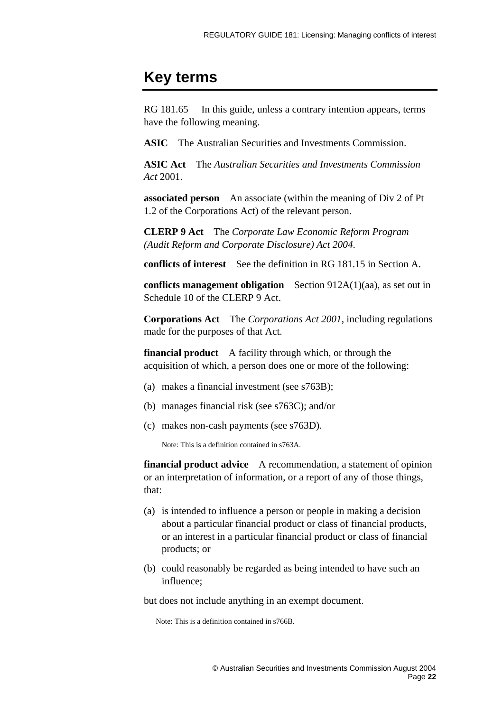# <span id="page-21-0"></span>**Key terms**

RG 181.65 In this guide, unless a contrary intention appears, terms have the following meaning.

**ASIC** The Australian Securities and Investments Commission.

**ASIC Act** The *Australian Securities and Investments Commission Act* 2001.

**associated person** An associate (within the meaning of Div 2 of Pt 1.2 of the Corporations Act) of the relevant person.

**CLERP 9 Act** The *Corporate Law Economic Reform Program (Audit Reform and Corporate Disclosure) Act 2004*.

**conflicts of interest** See the definition in RG 181.15 in Section A.

**conflicts management obligation** Section 912A(1)(aa), as set out in Schedule 10 of the CLERP 9 Act.

**Corporations Act** The *Corporations Act 2001*, including regulations made for the purposes of that Act.

**financial product** A facility through which, or through the acquisition of which, a person does one or more of the following:

- (a) makes a financial investment (see s763B);
- (b) manages financial risk (see s763C); and/or
- (c) makes non-cash payments (see s763D).

Note: This is a definition contained in s763A.

**financial product advice** A recommendation, a statement of opinion or an interpretation of information, or a report of any of those things, that:

- (a) is intended to influence a person or people in making a decision about a particular financial product or class of financial products, or an interest in a particular financial product or class of financial products; or
- (b) could reasonably be regarded as being intended to have such an influence;

but does not include anything in an exempt document.

Note: This is a definition contained in s766B.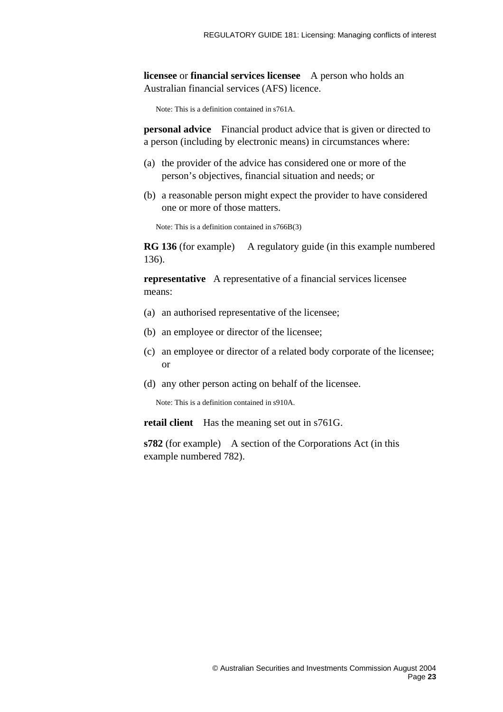**licensee** or **financial services licensee** A person who holds an Australian financial services (AFS) licence.

Note: This is a definition contained in s761A.

**personal advice** Financial product advice that is given or directed to a person (including by electronic means) in circumstances where:

- (a) the provider of the advice has considered one or more of the person's objectives, financial situation and needs; or
- (b) a reasonable person might expect the provider to have considered one or more of those matters.

Note: This is a definition contained in s766B(3)

**RG 136** (for example) A regulatory guide (in this example numbered 136).

**representative** A representative of a financial services licensee means:

- (a) an authorised representative of the licensee;
- (b) an employee or director of the licensee;
- (c) an employee or director of a related body corporate of the licensee; or
- (d) any other person acting on behalf of the licensee.

Note: This is a definition contained in s910A.

**retail client** Has the meaning set out in s761G.

**s782** (for example) A section of the Corporations Act (in this example numbered 782).